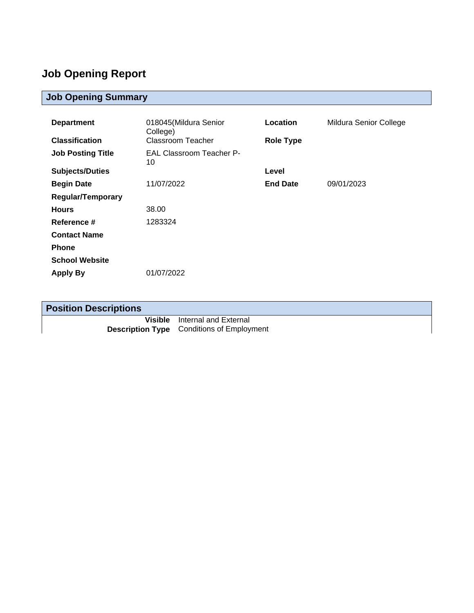## **Job Opening Report**

## **Job Opening Summary**

| <b>Department</b>        | 018045(Mildura Senior                 | Location         | Mildura Senior College |
|--------------------------|---------------------------------------|------------------|------------------------|
| <b>Classification</b>    | College)<br>Classroom Teacher         | <b>Role Type</b> |                        |
| <b>Job Posting Title</b> | <b>EAL Classroom Teacher P-</b><br>10 |                  |                        |
| <b>Subjects/Duties</b>   |                                       | Level            |                        |
| <b>Begin Date</b>        | 11/07/2022                            | <b>End Date</b>  | 09/01/2023             |
| <b>Regular/Temporary</b> |                                       |                  |                        |
| <b>Hours</b>             | 38.00                                 |                  |                        |
| Reference #              | 1283324                               |                  |                        |
| <b>Contact Name</b>      |                                       |                  |                        |
| <b>Phone</b>             |                                       |                  |                        |
| <b>School Website</b>    |                                       |                  |                        |
| <b>Apply By</b>          | 01/07/2022                            |                  |                        |

| <b>Position Descriptions</b> |                                                  |
|------------------------------|--------------------------------------------------|
|                              | <b>Visible</b> Internal and External             |
|                              | <b>Description Type</b> Conditions of Employment |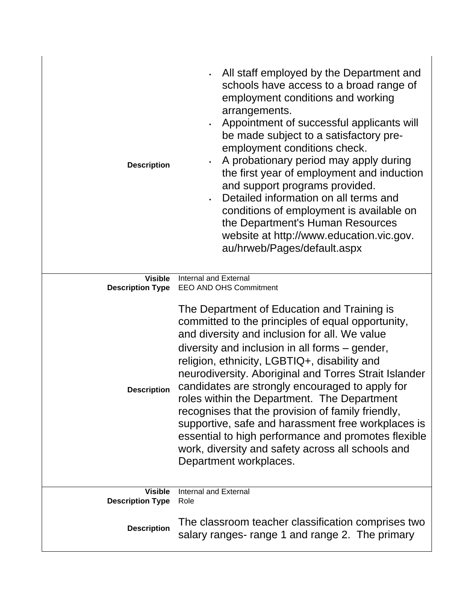| <b>Description</b><br><b>Visible</b><br><b>Description Type</b> | All staff employed by the Department and<br>schools have access to a broad range of<br>employment conditions and working<br>arrangements.<br>Appointment of successful applicants will<br>be made subject to a satisfactory pre-<br>employment conditions check.<br>A probationary period may apply during<br>the first year of employment and induction<br>and support programs provided.<br>Detailed information on all terms and<br>conditions of employment is available on<br>the Department's Human Resources<br>website at http://www.education.vic.gov.<br>au/hrweb/Pages/default.aspx<br><b>Internal and External</b>                                                            |  |
|-----------------------------------------------------------------|-------------------------------------------------------------------------------------------------------------------------------------------------------------------------------------------------------------------------------------------------------------------------------------------------------------------------------------------------------------------------------------------------------------------------------------------------------------------------------------------------------------------------------------------------------------------------------------------------------------------------------------------------------------------------------------------|--|
| <b>Description</b>                                              | EEO AND OHS Commitment<br>The Department of Education and Training is<br>committed to the principles of equal opportunity,<br>and diversity and inclusion for all. We value<br>diversity and inclusion in all forms – gender,<br>religion, ethnicity, LGBTIQ+, disability and<br>neurodiversity. Aboriginal and Torres Strait Islander<br>candidates are strongly encouraged to apply for<br>roles within the Department. The Department<br>recognises that the provision of family friendly,<br>supportive, safe and harassment free workplaces is<br>essential to high performance and promotes flexible<br>work, diversity and safety across all schools and<br>Department workplaces. |  |
| <b>Visible</b><br><b>Description Type</b>                       | <b>Internal and External</b><br>Role<br>The classroom teacher classification comprises two                                                                                                                                                                                                                                                                                                                                                                                                                                                                                                                                                                                                |  |
| <b>Description</b>                                              | salary ranges- range 1 and range 2. The primary                                                                                                                                                                                                                                                                                                                                                                                                                                                                                                                                                                                                                                           |  |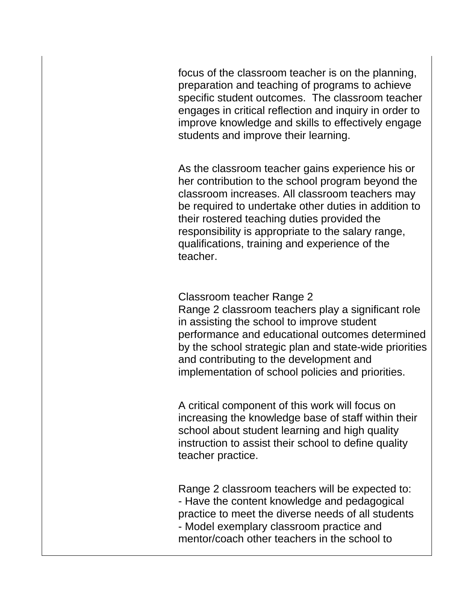focus of the classroom teacher is on the planning, preparation and teaching of programs to achieve specific student outcomes. The classroom teacher engages in critical reflection and inquiry in order to improve knowledge and skills to effectively engage students and improve their learning.

As the classroom teacher gains experience his or her contribution to the school program beyond the classroom increases. All classroom teachers may be required to undertake other duties in addition to their rostered teaching duties provided the responsibility is appropriate to the salary range, qualifications, training and experience of the teacher.

Classroom teacher Range 2 Range 2 classroom teachers play a significant role in assisting the school to improve student performance and educational outcomes determined by the school strategic plan and state-wide priorities and contributing to the development and implementation of school policies and priorities.

A critical component of this work will focus on increasing the knowledge base of staff within their school about student learning and high quality instruction to assist their school to define quality teacher practice.

Range 2 classroom teachers will be expected to: - Have the content knowledge and pedagogical practice to meet the diverse needs of all students - Model exemplary classroom practice and mentor/coach other teachers in the school to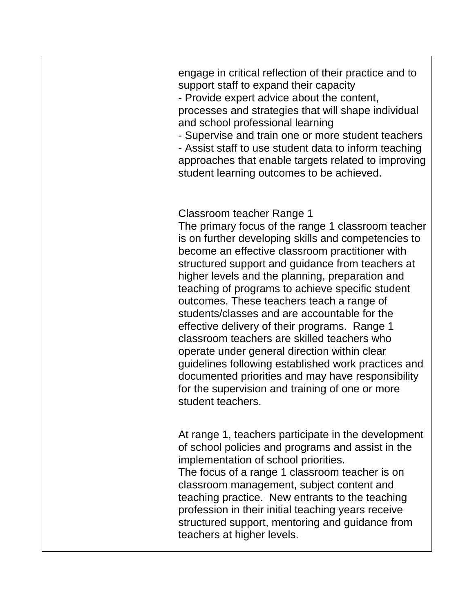engage in critical reflection of their practice and to support staff to expand their capacity

- Provide expert advice about the content,

processes and strategies that will shape individual and school professional learning

- Supervise and train one or more student teachers

- Assist staff to use student data to inform teaching approaches that enable targets related to improving student learning outcomes to be achieved.

Classroom teacher Range 1

The primary focus of the range 1 classroom teacher is on further developing skills and competencies to become an effective classroom practitioner with structured support and guidance from teachers at higher levels and the planning, preparation and teaching of programs to achieve specific student outcomes. These teachers teach a range of students/classes and are accountable for the effective delivery of their programs. Range 1 classroom teachers are skilled teachers who operate under general direction within clear guidelines following established work practices and documented priorities and may have responsibility for the supervision and training of one or more student teachers.

At range 1, teachers participate in the development of school policies and programs and assist in the implementation of school priorities.

The focus of a range 1 classroom teacher is on classroom management, subject content and teaching practice. New entrants to the teaching profession in their initial teaching years receive structured support, mentoring and guidance from teachers at higher levels.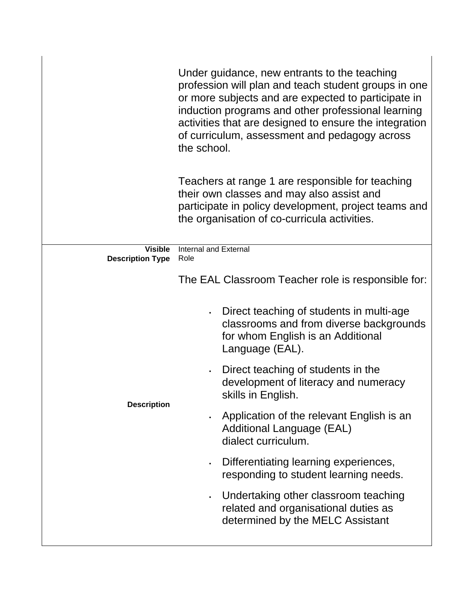|                                           | Under guidance, new entrants to the teaching<br>profession will plan and teach student groups in one<br>or more subjects and are expected to participate in<br>induction programs and other professional learning<br>activities that are designed to ensure the integration<br>of curriculum, assessment and pedagogy across<br>the school. |  |  |
|-------------------------------------------|---------------------------------------------------------------------------------------------------------------------------------------------------------------------------------------------------------------------------------------------------------------------------------------------------------------------------------------------|--|--|
|                                           | Teachers at range 1 are responsible for teaching<br>their own classes and may also assist and<br>participate in policy development, project teams and<br>the organisation of co-curricula activities.                                                                                                                                       |  |  |
| <b>Visible</b><br><b>Description Type</b> | <b>Internal and External</b><br>Role                                                                                                                                                                                                                                                                                                        |  |  |
|                                           | The EAL Classroom Teacher role is responsible for:                                                                                                                                                                                                                                                                                          |  |  |
|                                           | Direct teaching of students in multi-age<br>$\bullet$<br>classrooms and from diverse backgrounds<br>for whom English is an Additional<br>Language (EAL).                                                                                                                                                                                    |  |  |
|                                           | Direct teaching of students in the<br>$\bullet$<br>development of literacy and numeracy<br>skills in English.                                                                                                                                                                                                                               |  |  |
| <b>Description</b>                        | Application of the relevant English is an<br>$\bullet$<br><b>Additional Language (EAL)</b><br>dialect curriculum.                                                                                                                                                                                                                           |  |  |
|                                           | Differentiating learning experiences,<br>$\bullet$<br>responding to student learning needs.                                                                                                                                                                                                                                                 |  |  |
|                                           | Undertaking other classroom teaching<br>$\bullet$<br>related and organisational duties as<br>determined by the MELC Assistant                                                                                                                                                                                                               |  |  |
|                                           |                                                                                                                                                                                                                                                                                                                                             |  |  |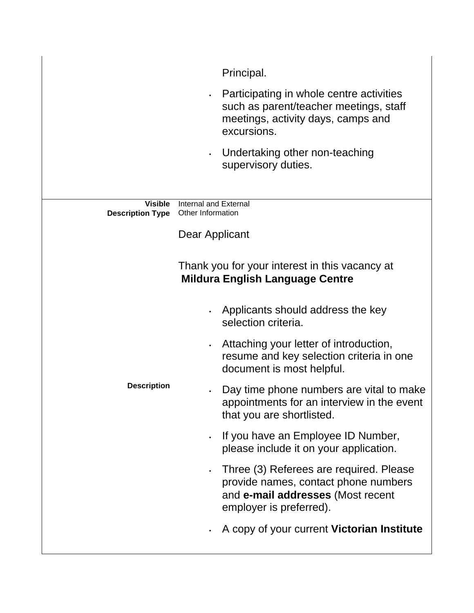|                         | Principal.                                                                                                                                           |
|-------------------------|------------------------------------------------------------------------------------------------------------------------------------------------------|
|                         | Participating in whole centre activities<br>$\bullet$<br>such as parent/teacher meetings, staff<br>meetings, activity days, camps and<br>excursions. |
|                         | Undertaking other non-teaching<br>$\bullet$<br>supervisory duties.                                                                                   |
| <b>Visible</b>          | Internal and External                                                                                                                                |
| <b>Description Type</b> | Other Information                                                                                                                                    |
|                         | Dear Applicant                                                                                                                                       |
|                         |                                                                                                                                                      |
|                         | Thank you for your interest in this vacancy at<br><b>Mildura English Language Centre</b>                                                             |
|                         | Applicants should address the key<br>selection criteria.                                                                                             |
|                         | Attaching your letter of introduction,<br>$\bullet$<br>resume and key selection criteria in one<br>document is most helpful.                         |
| <b>Description</b>      | Day time phone numbers are vital to make<br>appointments for an interview in the event<br>that you are shortlisted.                                  |
|                         | If you have an Employee ID Number,<br>$\bullet$<br>please include it on your application.                                                            |
|                         | Three (3) Referees are required. Please<br>provide names, contact phone numbers<br>and e-mail addresses (Most recent<br>employer is preferred).      |
|                         | A copy of your current Victorian Institute                                                                                                           |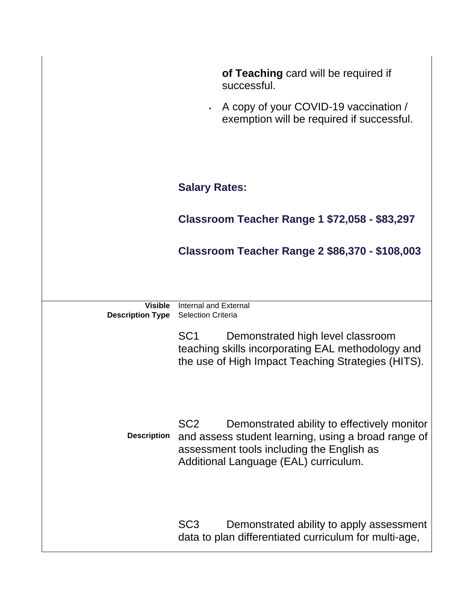|                         | of Teaching card will be required if<br>successful.<br>A copy of your COVID-19 vaccination /                                                                                                                |
|-------------------------|-------------------------------------------------------------------------------------------------------------------------------------------------------------------------------------------------------------|
|                         | exemption will be required if successful.                                                                                                                                                                   |
|                         | <b>Salary Rates:</b>                                                                                                                                                                                        |
|                         | <b>Classroom Teacher Range 1 \$72,058 - \$83,297</b>                                                                                                                                                        |
|                         | Classroom Teacher Range 2 \$86,370 - \$108,003                                                                                                                                                              |
| <b>Visible</b>          | Internal and External                                                                                                                                                                                       |
| <b>Description Type</b> | <b>Selection Criteria</b>                                                                                                                                                                                   |
|                         | SC <sub>1</sub><br>Demonstrated high level classroom<br>teaching skills incorporating EAL methodology and<br>the use of High Impact Teaching Strategies (HITS).                                             |
| <b>Description</b>      | SC <sub>2</sub><br>Demonstrated ability to effectively monitor<br>and assess student learning, using a broad range of<br>assessment tools including the English as<br>Additional Language (EAL) curriculum. |
|                         | SC <sub>3</sub><br>Demonstrated ability to apply assessment<br>data to plan differentiated curriculum for multi-age,                                                                                        |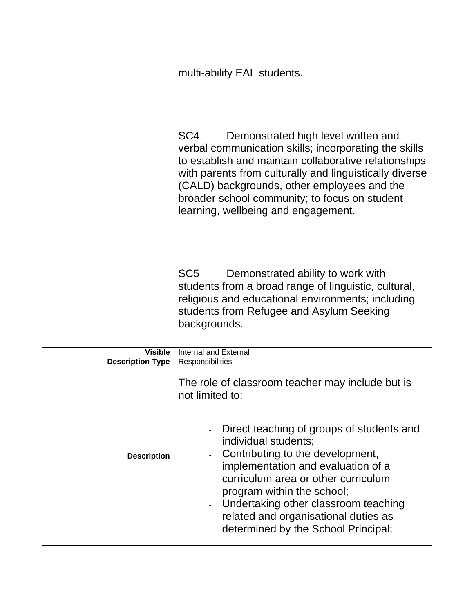|                                           | multi-ability EAL students.                                                                                                                                                                                                                                                                                                                                                |  |  |
|-------------------------------------------|----------------------------------------------------------------------------------------------------------------------------------------------------------------------------------------------------------------------------------------------------------------------------------------------------------------------------------------------------------------------------|--|--|
|                                           | SC <sub>4</sub><br>Demonstrated high level written and<br>verbal communication skills; incorporating the skills<br>to establish and maintain collaborative relationships<br>with parents from culturally and linguistically diverse<br>(CALD) backgrounds, other employees and the<br>broader school community; to focus on student<br>learning, wellbeing and engagement. |  |  |
|                                           | SC <sub>5</sub><br>Demonstrated ability to work with<br>students from a broad range of linguistic, cultural,<br>religious and educational environments; including<br>students from Refugee and Asylum Seeking<br>backgrounds.                                                                                                                                              |  |  |
| <b>Visible</b><br><b>Description Type</b> | Internal and External<br>Responsibilities                                                                                                                                                                                                                                                                                                                                  |  |  |
|                                           | The role of classroom teacher may include but is<br>not limited to:                                                                                                                                                                                                                                                                                                        |  |  |
| <b>Description</b>                        | Direct teaching of groups of students and<br>individual students;<br>Contributing to the development,<br>implementation and evaluation of a<br>curriculum area or other curriculum<br>program within the school;<br>Undertaking other classroom teaching<br>related and organisational duties as<br>determined by the School Principal;                                    |  |  |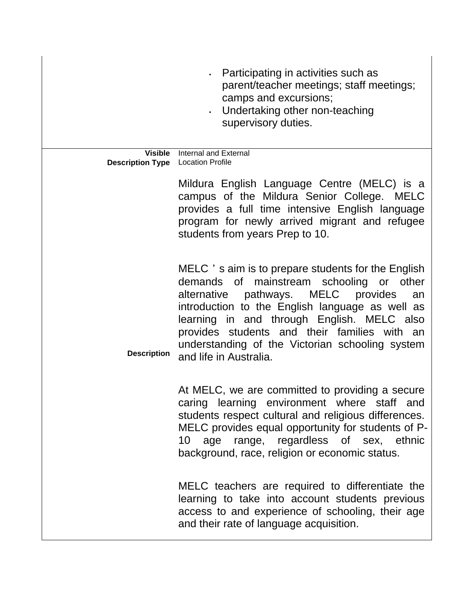|                                                            | Participating in activities such as<br>parent/teacher meetings; staff meetings;<br>camps and excursions;<br>. Undertaking other non-teaching<br>supervisory duties.                                                                                                                                                                                                       |
|------------------------------------------------------------|---------------------------------------------------------------------------------------------------------------------------------------------------------------------------------------------------------------------------------------------------------------------------------------------------------------------------------------------------------------------------|
| <b>Visible</b><br><b>Description Type</b> Location Profile | Internal and External                                                                                                                                                                                                                                                                                                                                                     |
|                                                            | Mildura English Language Centre (MELC) is a<br>campus of the Mildura Senior College. MELC<br>provides a full time intensive English language<br>program for newly arrived migrant and refugee<br>students from years Prep to 10.                                                                                                                                          |
| <b>Description</b>                                         | MELC 's aim is to prepare students for the English<br>demands of mainstream schooling or other<br>alternative pathways. MELC provides<br>an<br>introduction to the English language as well as<br>learning in and through English. MELC also<br>provides students and their families with an<br>understanding of the Victorian schooling system<br>and life in Australia. |
|                                                            | At MELC, we are committed to providing a secure<br>caring learning environment where staff<br>and<br>students respect cultural and religious differences.<br>MELC provides equal opportunity for students of P-<br>age range, regardless of sex, ethnic<br>10<br>background, race, religion or economic status.                                                           |
|                                                            | MELC teachers are required to differentiate the<br>learning to take into account students previous<br>access to and experience of schooling, their age<br>and their rate of language acquisition.                                                                                                                                                                         |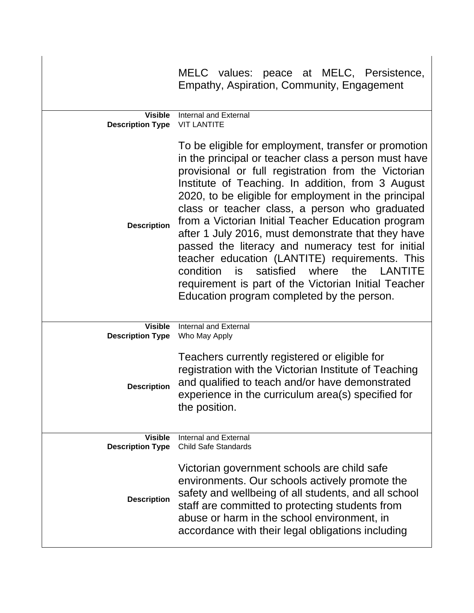|                                           | MELC values: peace at MELC, Persistence,<br>Empathy, Aspiration, Community, Engagement                                                                                                                                                                                                                                                                                                                                                                                                                                                                                                                                                                                                                           |
|-------------------------------------------|------------------------------------------------------------------------------------------------------------------------------------------------------------------------------------------------------------------------------------------------------------------------------------------------------------------------------------------------------------------------------------------------------------------------------------------------------------------------------------------------------------------------------------------------------------------------------------------------------------------------------------------------------------------------------------------------------------------|
| <b>Visible</b><br><b>Description Type</b> | Internal and External<br><b>VIT LANTITE</b>                                                                                                                                                                                                                                                                                                                                                                                                                                                                                                                                                                                                                                                                      |
| <b>Description</b>                        | To be eligible for employment, transfer or promotion<br>in the principal or teacher class a person must have<br>provisional or full registration from the Victorian<br>Institute of Teaching. In addition, from 3 August<br>2020, to be eligible for employment in the principal<br>class or teacher class, a person who graduated<br>from a Victorian Initial Teacher Education program<br>after 1 July 2016, must demonstrate that they have<br>passed the literacy and numeracy test for initial<br>teacher education (LANTITE) requirements. This<br>satisfied<br>where the LANTITE<br>is<br>condition<br>requirement is part of the Victorian Initial Teacher<br>Education program completed by the person. |
| <b>Visible</b><br><b>Description Type</b> | Internal and External<br>Who May Apply                                                                                                                                                                                                                                                                                                                                                                                                                                                                                                                                                                                                                                                                           |
| <b>Description</b>                        | Teachers currently registered or eligible for<br>registration with the Victorian Institute of Teaching<br>and qualified to teach and/or have demonstrated<br>experience in the curriculum area(s) specified for<br>the position.                                                                                                                                                                                                                                                                                                                                                                                                                                                                                 |
| <b>Visible</b><br><b>Description Type</b> | Internal and External<br><b>Child Safe Standards</b>                                                                                                                                                                                                                                                                                                                                                                                                                                                                                                                                                                                                                                                             |
| <b>Description</b>                        | Victorian government schools are child safe<br>environments. Our schools actively promote the<br>safety and wellbeing of all students, and all school<br>staff are committed to protecting students from<br>abuse or harm in the school environment, in<br>accordance with their legal obligations including                                                                                                                                                                                                                                                                                                                                                                                                     |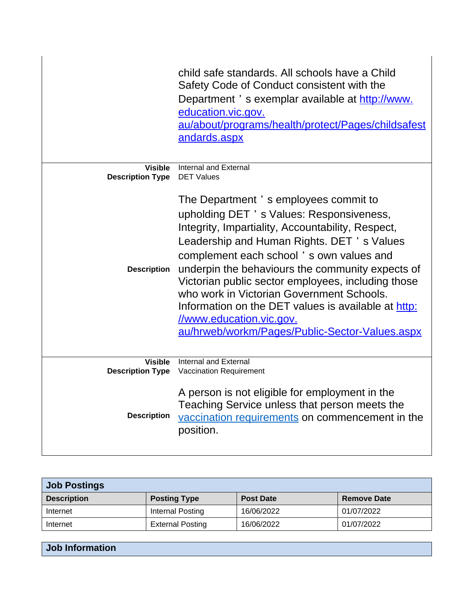|                                           | child safe standards. All schools have a Child<br>Safety Code of Conduct consistent with the<br>Department 's exemplar available at http://www.<br>education.vic.gov.<br>au/about/programs/health/protect/Pages/childsafest<br>andards.aspx                                                                                                                                                                                                                                                                                 |
|-------------------------------------------|-----------------------------------------------------------------------------------------------------------------------------------------------------------------------------------------------------------------------------------------------------------------------------------------------------------------------------------------------------------------------------------------------------------------------------------------------------------------------------------------------------------------------------|
| <b>Visible</b><br><b>Description Type</b> | Internal and External<br><b>DET Values</b>                                                                                                                                                                                                                                                                                                                                                                                                                                                                                  |
| <b>Description</b>                        | The Department 's employees commit to<br>upholding DET 's Values: Responsiveness,<br>Integrity, Impartiality, Accountability, Respect,<br>Leadership and Human Rights. DET 's Values<br>complement each school's own values and<br>underpin the behaviours the community expects of<br>Victorian public sector employees, including those<br>who work in Victorian Government Schools.<br>Information on the DET values is available at http:<br>//www.education.vic.gov.<br>au/hrweb/workm/Pages/Public-Sector-Values.aspx |
| Visible<br><b>Description Type</b>        | Internal and External<br>Vaccination Requirement                                                                                                                                                                                                                                                                                                                                                                                                                                                                            |
| <b>Description</b>                        | A person is not eligible for employment in the<br>Teaching Service unless that person meets the<br>vaccination requirements on commencement in the<br>position.                                                                                                                                                                                                                                                                                                                                                             |

| <b>Job Postings</b> |                         |                  |                    |
|---------------------|-------------------------|------------------|--------------------|
| <b>Description</b>  | <b>Posting Type</b>     | <b>Post Date</b> | <b>Remove Date</b> |
| Internet            | Internal Posting        | 16/06/2022       | 01/07/2022         |
| Internet            | <b>External Posting</b> | 16/06/2022       | 01/07/2022         |

| Job Information |  |  |
|-----------------|--|--|